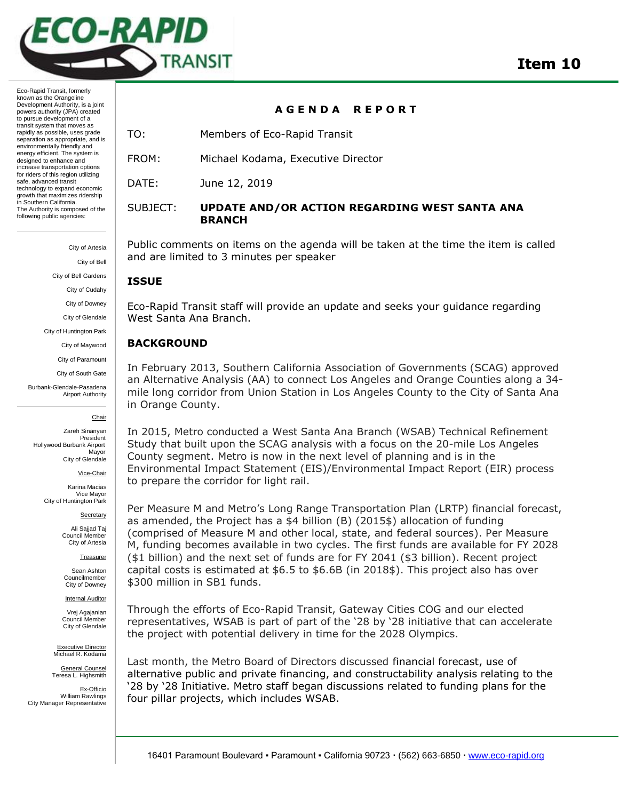

Eco-Rapid Transit, formerly known as the Orangeline Development Authority, is a joint powers authority (JPA) created to pursue development of a transit system that moves as rapidly as possible, uses grade separation as appropriate, and is environmentally friendly and energy efficient. The system is designed to enhance and increase transportation options for riders of this region utilizing safe, advanced transit technology to expand economic growth that maximizes ridership in Southern California. The Authority is composed of the following public agencies:

> City of Artesia City of Bell

City of Bell Gardens

City of Cudahy

City of Downey

City of Glendale

City of Huntington Park

City of Maywood

City of Paramount

City of South Gate

Burbank-Glendale-Pasadena Airport Authority

Chair

Zareh Sinanyan President Hollywood Burbank Airport Mayor City of Glendale

Vice-Chair

Karina Macias Vice Mayor City of Huntington Park

Secretary

Ali Sajjad Taj Council Member City of Artesia

**Treasurer** 

Sean Ashton Councilmember City of Downey

**Internal Auditor** 

Vrej Agajanian Council Member City of Glendale

Executive Director Michael R. Kodama

General Counsel Teresa L. Highsmith

Ex-Officio William Rawlings City Manager Representative

**A G E N D A R E P O R T**

TO: Members of Eco-Rapid Transit

FROM: Michael Kodama, Executive Director

DATE: June 12, 2019

#### SUBJECT: **UPDATE AND/OR ACTION REGARDING WEST SANTA ANA BRANCH**

Public comments on items on the agenda will be taken at the time the item is called and are limited to 3 minutes per speaker

#### **ISSUE**

Eco-Rapid Transit staff will provide an update and seeks your guidance regarding West Santa Ana Branch.

#### **BACKGROUND**

In February 2013, Southern California Association of Governments (SCAG) approved an Alternative Analysis (AA) to connect Los Angeles and Orange Counties along a 34 mile long corridor from Union Station in Los Angeles County to the City of Santa Ana in Orange County.

In 2015, Metro conducted a West Santa Ana Branch (WSAB) Technical Refinement Study that built upon the SCAG analysis with a focus on the 20-mile Los Angeles County segment. Metro is now in the next level of planning and is in the Environmental Impact Statement (EIS)/Environmental Impact Report (EIR) process to prepare the corridor for light rail.

Per Measure M and Metro's Long Range Transportation Plan (LRTP) financial forecast, as amended, the Project has a \$4 billion (B) (2015\$) allocation of funding (comprised of Measure M and other local, state, and federal sources). Per Measure M, funding becomes available in two cycles. The first funds are available for FY 2028 (\$1 billion) and the next set of funds are for FY 2041 (\$3 billion). Recent project capital costs is estimated at \$6.5 to \$6.6B (in 2018\$). This project also has over \$300 million in SB1 funds.

Through the efforts of Eco-Rapid Transit, Gateway Cities COG and our elected representatives, WSAB is part of part of the '28 by '28 initiative that can accelerate the project with potential delivery in time for the 2028 Olympics.

Last month, the Metro Board of Directors discussed financial forecast, use of alternative public and private financing, and constructability analysis relating to the '28 by '28 Initiative. Metro staff began discussions related to funding plans for the four pillar projects, which includes WSAB.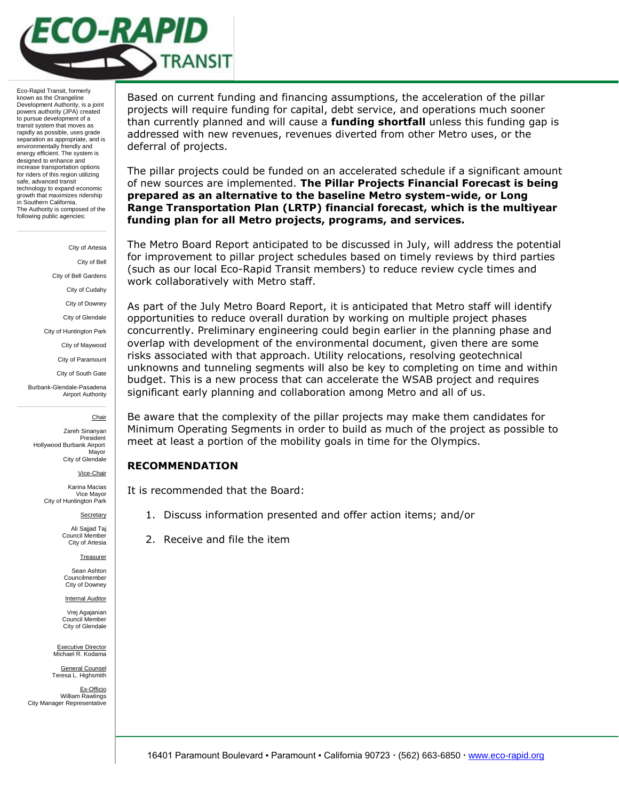

Eco-Rapid Transit, formerly known as the Orangeline Development Authority, is a joint powers authority (JPA) created to pursue development of a transit system that moves as rapidly as possible, uses grade separation as appropriate, and is environmentally friendly and energy efficient. The system is designed to enhance and increase transportation options for riders of this region utilizing safe, advanced transit technology to expand economic growth that maximizes ridership in Southern California. The Authority is composed of the following public agencies:

> City of Artesia City of Bell City of Bell Gardens City of Cudahy City of Downey City of Glendale City of Huntington Park City of Maywood City of Paramount City of South Gate Burbank-Glendale-Pasadena Airport Authority

> > Chair

Zareh Sinanyan President Hollywood Burbank Airport Mayor City of Glendale

Vice-Chair

Karina Macias Vice Mayor City of Huntington Park

**Secretary** 

Ali Sajjad Taj Council Member City of Artesia

**Treasurer** 

Sean Ashton Councilmember City of Downey

**Internal Auditor** Vrej Agajanian

Council Member City of Glendale

Executive Director Michael R. Kodama

General Counsel Teresa L. Highsmith

Ex-Officio William Rawlings City Manager Representative

Based on current funding and financing assumptions, the acceleration of the pillar projects will require funding for capital, debt service, and operations much sooner than currently planned and will cause a **funding shortfall** unless this funding gap is addressed with new revenues, revenues diverted from other Metro uses, or the deferral of projects.

The pillar projects could be funded on an accelerated schedule if a significant amount of new sources are implemented. **The Pillar Projects Financial Forecast is being prepared as an alternative to the baseline Metro system-wide, or Long Range Transportation Plan (LRTP) financial forecast, which is the multiyear funding plan for all Metro projects, programs, and services.**

The Metro Board Report anticipated to be discussed in July, will address the potential for improvement to pillar project schedules based on timely reviews by third parties (such as our local Eco-Rapid Transit members) to reduce review cycle times and work collaboratively with Metro staff.

As part of the July Metro Board Report, it is anticipated that Metro staff will identify opportunities to reduce overall duration by working on multiple project phases concurrently. Preliminary engineering could begin earlier in the planning phase and overlap with development of the environmental document, given there are some risks associated with that approach. Utility relocations, resolving geotechnical unknowns and tunneling segments will also be key to completing on time and within budget. This is a new process that can accelerate the WSAB project and requires significant early planning and collaboration among Metro and all of us.

Be aware that the complexity of the pillar projects may make them candidates for Minimum Operating Segments in order to build as much of the project as possible to meet at least a portion of the mobility goals in time for the Olympics.

#### **RECOMMENDATION**

It is recommended that the Board:

- 1. Discuss information presented and offer action items; and/or
- 2. Receive and file the item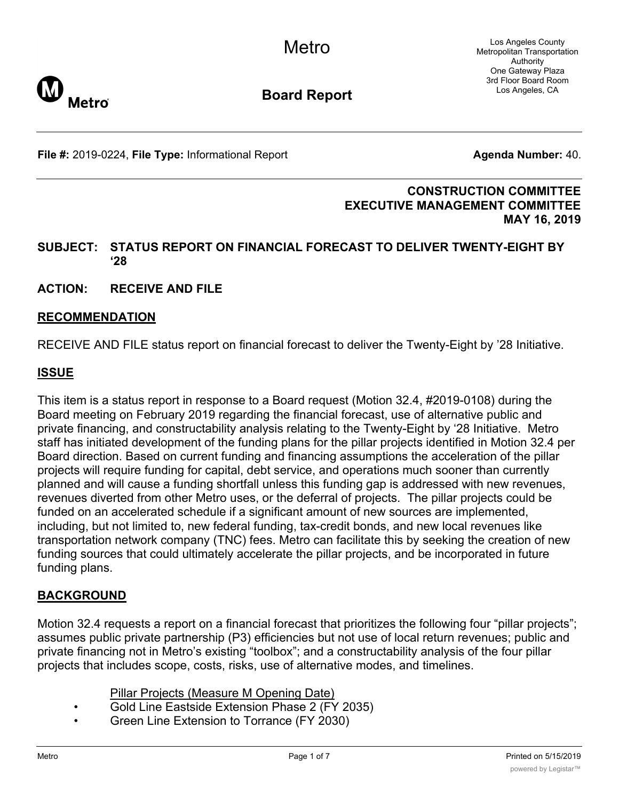Los Angeles County Metropolitan Transportation Authority One Gateway Plaza 3rd Floor Board Room Los Angeles, CA



**Board Report**

**File #:** 2019-0224, File Type: Informational Report **Agents Agenda Number:** 40.

## **CONSTRUCTION COMMITTEE EXECUTIVE MANAGEMENT COMMITTEE MAY 16, 2019**

## **SUBJECT: STATUS REPORT ON FINANCIAL FORECAST TO DELIVER TWENTY-EIGHT BY '28**

**ACTION: RECEIVE AND FILE**

### **RECOMMENDATION**

RECEIVE AND FILE status report on financial forecast to deliver the Twenty-Eight by '28 Initiative.

# **ISSUE**

This item is a status report in response to a Board request (Motion 32.4, #2019-0108) during the Board meeting on February 2019 regarding the financial forecast, use of alternative public and private financing, and constructability analysis relating to the Twenty-Eight by '28 Initiative. Metro staff has initiated development of the funding plans for the pillar projects identified in Motion 32.4 per Board direction. Based on current funding and financing assumptions the acceleration of the pillar projects will require funding for capital, debt service, and operations much sooner than currently planned and will cause a funding shortfall unless this funding gap is addressed with new revenues, revenues diverted from other Metro uses, or the deferral of projects. The pillar projects could be funded on an accelerated schedule if a significant amount of new sources are implemented, including, but not limited to, new federal funding, tax-credit bonds, and new local revenues like transportation network company (TNC) fees. Metro can facilitate this by seeking the creation of new funding sources that could ultimately accelerate the pillar projects, and be incorporated in future funding plans.

# **BACKGROUND**

Motion 32.4 requests a report on a financial forecast that prioritizes the following four "pillar projects"; assumes public private partnership (P3) efficiencies but not use of local return revenues; public and private financing not in Metro's existing "toolbox"; and a constructability analysis of the four pillar projects that includes scope, costs, risks, use of alternative modes, and timelines.

- Pillar Projects (Measure M Opening Date)
- Gold Line Eastside Extension Phase 2 (FY 2035)
- Green Line Extension to Torrance (FY 2030)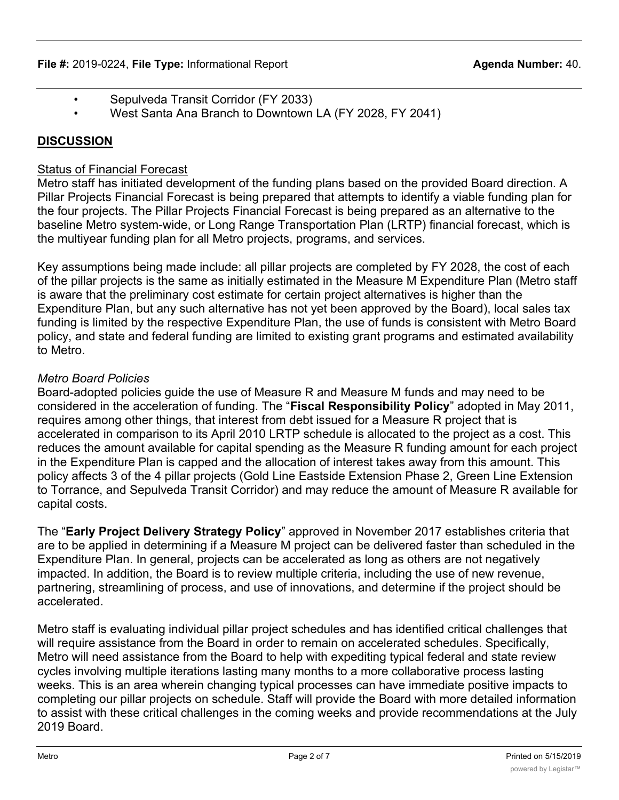- Sepulveda Transit Corridor (FY 2033)
- West Santa Ana Branch to Downtown LA (FY 2028, FY 2041)

# **DISCUSSION**

# Status of Financial Forecast

Metro staff has initiated development of the funding plans based on the provided Board direction. A Pillar Projects Financial Forecast is being prepared that attempts to identify a viable funding plan for the four projects. The Pillar Projects Financial Forecast is being prepared as an alternative to the baseline Metro system-wide, or Long Range Transportation Plan (LRTP) financial forecast, which is the multiyear funding plan for all Metro projects, programs, and services.

Key assumptions being made include: all pillar projects are completed by FY 2028, the cost of each of the pillar projects is the same as initially estimated in the Measure M Expenditure Plan (Metro staff is aware that the preliminary cost estimate for certain project alternatives is higher than the Expenditure Plan, but any such alternative has not yet been approved by the Board), local sales tax funding is limited by the respective Expenditure Plan, the use of funds is consistent with Metro Board policy, and state and federal funding are limited to existing grant programs and estimated availability to Metro.

# *Metro Board Policies*

Board-adopted policies guide the use of Measure R and Measure M funds and may need to be considered in the acceleration of funding. The "**Fiscal Responsibility Policy**" adopted in May 2011, requires among other things, that interest from debt issued for a Measure R project that is accelerated in comparison to its April 2010 LRTP schedule is allocated to the project as a cost. This reduces the amount available for capital spending as the Measure R funding amount for each project in the Expenditure Plan is capped and the allocation of interest takes away from this amount. This policy affects 3 of the 4 pillar projects (Gold Line Eastside Extension Phase 2, Green Line Extension to Torrance, and Sepulveda Transit Corridor) and may reduce the amount of Measure R available for capital costs.

The "**Early Project Delivery Strategy Policy**" approved in November 2017 establishes criteria that are to be applied in determining if a Measure M project can be delivered faster than scheduled in the Expenditure Plan. In general, projects can be accelerated as long as others are not negatively impacted. In addition, the Board is to review multiple criteria, including the use of new revenue, partnering, streamlining of process, and use of innovations, and determine if the project should be accelerated.

Metro staff is evaluating individual pillar project schedules and has identified critical challenges that will require assistance from the Board in order to remain on accelerated schedules. Specifically, Metro will need assistance from the Board to help with expediting typical federal and state review cycles involving multiple iterations lasting many months to a more collaborative process lasting weeks. This is an area wherein changing typical processes can have immediate positive impacts to completing our pillar projects on schedule. Staff will provide the Board with more detailed information to assist with these critical challenges in the coming weeks and provide recommendations at the July 2019 Board.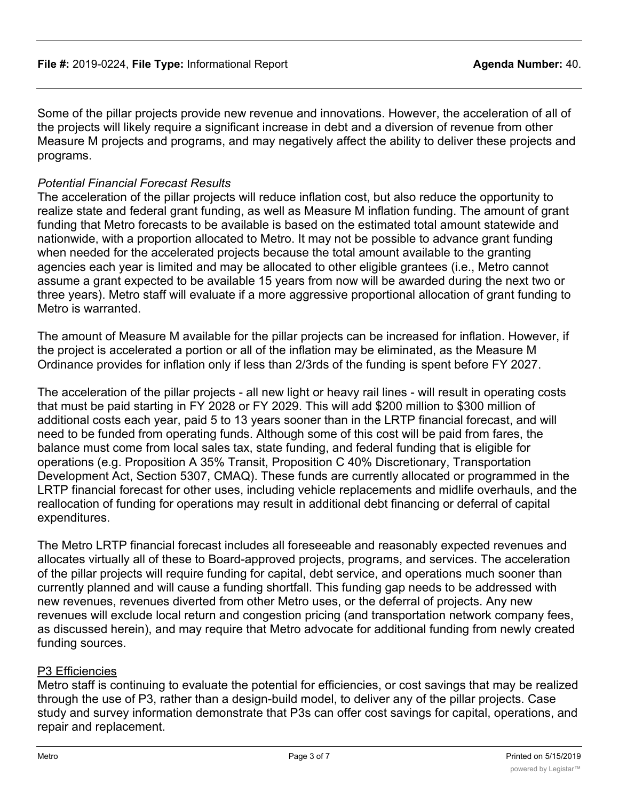Some of the pillar projects provide new revenue and innovations. However, the acceleration of all of the projects will likely require a significant increase in debt and a diversion of revenue from other Measure M projects and programs, and may negatively affect the ability to deliver these projects and programs.

# *Potential Financial Forecast Results*

The acceleration of the pillar projects will reduce inflation cost, but also reduce the opportunity to realize state and federal grant funding, as well as Measure M inflation funding. The amount of grant funding that Metro forecasts to be available is based on the estimated total amount statewide and nationwide, with a proportion allocated to Metro. It may not be possible to advance grant funding when needed for the accelerated projects because the total amount available to the granting agencies each year is limited and may be allocated to other eligible grantees (i.e., Metro cannot assume a grant expected to be available 15 years from now will be awarded during the next two or three years). Metro staff will evaluate if a more aggressive proportional allocation of grant funding to Metro is warranted.

The amount of Measure M available for the pillar projects can be increased for inflation. However, if the project is accelerated a portion or all of the inflation may be eliminated, as the Measure M Ordinance provides for inflation only if less than 2/3rds of the funding is spent before FY 2027.

The acceleration of the pillar projects - all new light or heavy rail lines - will result in operating costs that must be paid starting in FY 2028 or FY 2029. This will add \$200 million to \$300 million of additional costs each year, paid 5 to 13 years sooner than in the LRTP financial forecast, and will need to be funded from operating funds. Although some of this cost will be paid from fares, the balance must come from local sales tax, state funding, and federal funding that is eligible for operations (e.g. Proposition A 35% Transit, Proposition C 40% Discretionary, Transportation Development Act, Section 5307, CMAQ). These funds are currently allocated or programmed in the LRTP financial forecast for other uses, including vehicle replacements and midlife overhauls, and the reallocation of funding for operations may result in additional debt financing or deferral of capital expenditures.

The Metro LRTP financial forecast includes all foreseeable and reasonably expected revenues and allocates virtually all of these to Board-approved projects, programs, and services. The acceleration of the pillar projects will require funding for capital, debt service, and operations much sooner than currently planned and will cause a funding shortfall. This funding gap needs to be addressed with new revenues, revenues diverted from other Metro uses, or the deferral of projects. Any new revenues will exclude local return and congestion pricing (and transportation network company fees, as discussed herein), and may require that Metro advocate for additional funding from newly created funding sources.

### P3 Efficiencies

Metro staff is continuing to evaluate the potential for efficiencies, or cost savings that may be realized through the use of P3, rather than a design-build model, to deliver any of the pillar projects. Case study and survey information demonstrate that P3s can offer cost savings for capital, operations, and repair and replacement.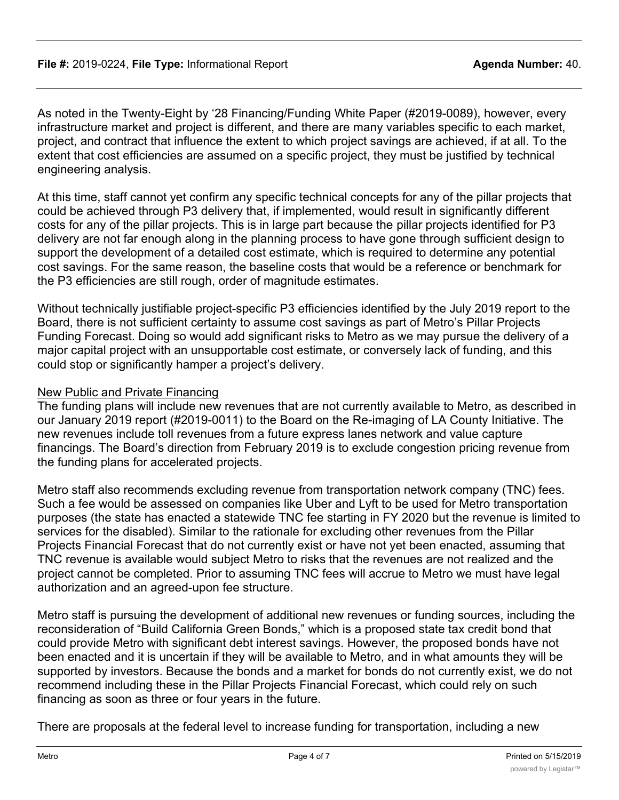As noted in the Twenty-Eight by '28 Financing/Funding White Paper (#2019-0089), however, every infrastructure market and project is different, and there are many variables specific to each market, project, and contract that influence the extent to which project savings are achieved, if at all. To the extent that cost efficiencies are assumed on a specific project, they must be justified by technical engineering analysis.

At this time, staff cannot yet confirm any specific technical concepts for any of the pillar projects that could be achieved through P3 delivery that, if implemented, would result in significantly different costs for any of the pillar projects. This is in large part because the pillar projects identified for P3 delivery are not far enough along in the planning process to have gone through sufficient design to support the development of a detailed cost estimate, which is required to determine any potential cost savings. For the same reason, the baseline costs that would be a reference or benchmark for the P3 efficiencies are still rough, order of magnitude estimates.

Without technically justifiable project-specific P3 efficiencies identified by the July 2019 report to the Board, there is not sufficient certainty to assume cost savings as part of Metro's Pillar Projects Funding Forecast. Doing so would add significant risks to Metro as we may pursue the delivery of a major capital project with an unsupportable cost estimate, or conversely lack of funding, and this could stop or significantly hamper a project's delivery.

### New Public and Private Financing

The funding plans will include new revenues that are not currently available to Metro, as described in our January 2019 report (#2019-0011) to the Board on the Re-imaging of LA County Initiative. The new revenues include toll revenues from a future express lanes network and value capture financings. The Board's direction from February 2019 is to exclude congestion pricing revenue from the funding plans for accelerated projects.

Metro staff also recommends excluding revenue from transportation network company (TNC) fees. Such a fee would be assessed on companies like Uber and Lyft to be used for Metro transportation purposes (the state has enacted a statewide TNC fee starting in FY 2020 but the revenue is limited to services for the disabled). Similar to the rationale for excluding other revenues from the Pillar Projects Financial Forecast that do not currently exist or have not yet been enacted, assuming that TNC revenue is available would subject Metro to risks that the revenues are not realized and the project cannot be completed. Prior to assuming TNC fees will accrue to Metro we must have legal authorization and an agreed-upon fee structure.

Metro staff is pursuing the development of additional new revenues or funding sources, including the reconsideration of "Build California Green Bonds," which is a proposed state tax credit bond that could provide Metro with significant debt interest savings. However, the proposed bonds have not been enacted and it is uncertain if they will be available to Metro, and in what amounts they will be supported by investors. Because the bonds and a market for bonds do not currently exist, we do not recommend including these in the Pillar Projects Financial Forecast, which could rely on such financing as soon as three or four years in the future.

There are proposals at the federal level to increase funding for transportation, including a new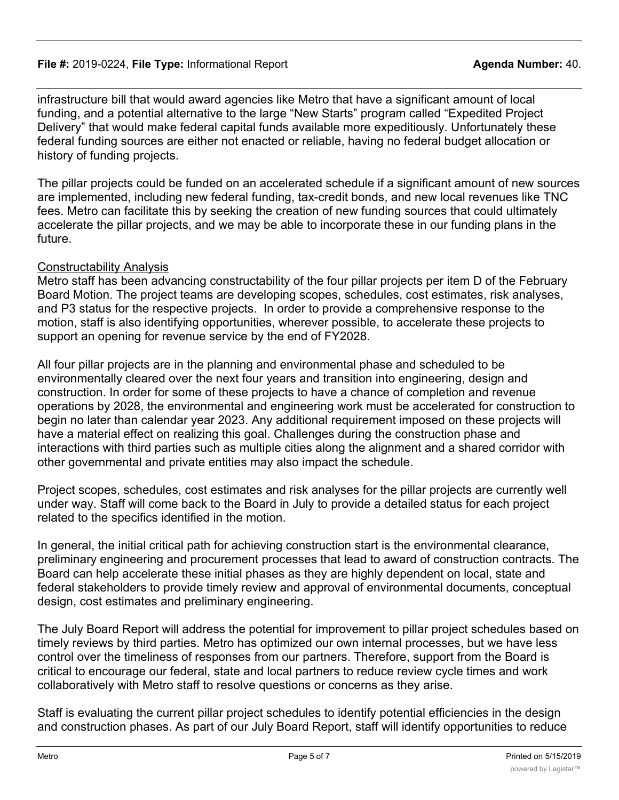### **File #:** 2019-0224, File Type: Informational Report **Agent Agent Agenda Number:** 40.

infrastructure bill that would award agencies like Metro that have a significant amount of local funding, and a potential alternative to the large "New Starts" program called "Expedited Project Delivery" that would make federal capital funds available more expeditiously. Unfortunately these federal funding sources are either not enacted or reliable, having no federal budget allocation or history of funding projects.

The pillar projects could be funded on an accelerated schedule if a significant amount of new sources are implemented, including new federal funding, tax-credit bonds, and new local revenues like TNC fees. Metro can facilitate this by seeking the creation of new funding sources that could ultimately accelerate the pillar projects, and we may be able to incorporate these in our funding plans in the future.

# Constructability Analysis

Metro staff has been advancing constructability of the four pillar projects per item D of the February Board Motion. The project teams are developing scopes, schedules, cost estimates, risk analyses, and P3 status for the respective projects. In order to provide a comprehensive response to the motion, staff is also identifying opportunities, wherever possible, to accelerate these projects to support an opening for revenue service by the end of FY2028.

All four pillar projects are in the planning and environmental phase and scheduled to be environmentally cleared over the next four years and transition into engineering, design and construction. In order for some of these projects to have a chance of completion and revenue operations by 2028, the environmental and engineering work must be accelerated for construction to begin no later than calendar year 2023. Any additional requirement imposed on these projects will have a material effect on realizing this goal. Challenges during the construction phase and interactions with third parties such as multiple cities along the alignment and a shared corridor with other governmental and private entities may also impact the schedule.

Project scopes, schedules, cost estimates and risk analyses for the pillar projects are currently well under way. Staff will come back to the Board in July to provide a detailed status for each project related to the specifics identified in the motion.

In general, the initial critical path for achieving construction start is the environmental clearance, preliminary engineering and procurement processes that lead to award of construction contracts. The Board can help accelerate these initial phases as they are highly dependent on local, state and federal stakeholders to provide timely review and approval of environmental documents, conceptual design, cost estimates and preliminary engineering.

The July Board Report will address the potential for improvement to pillar project schedules based on timely reviews by third parties. Metro has optimized our own internal processes, but we have less control over the timeliness of responses from our partners. Therefore, support from the Board is critical to encourage our federal, state and local partners to reduce review cycle times and work collaboratively with Metro staff to resolve questions or concerns as they arise.

Staff is evaluating the current pillar project schedules to identify potential efficiencies in the design and construction phases. As part of our July Board Report, staff will identify opportunities to reduce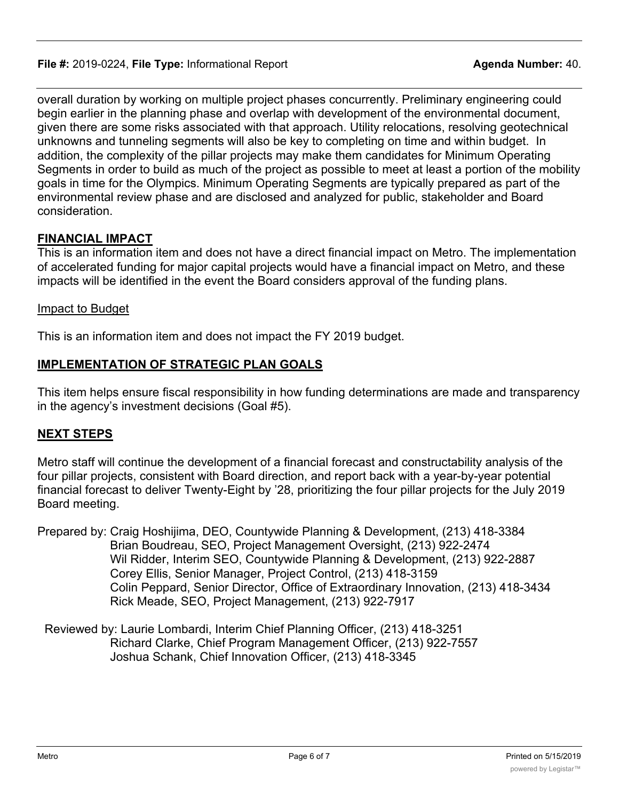overall duration by working on multiple project phases concurrently. Preliminary engineering could begin earlier in the planning phase and overlap with development of the environmental document, given there are some risks associated with that approach. Utility relocations, resolving geotechnical unknowns and tunneling segments will also be key to completing on time and within budget. In addition, the complexity of the pillar projects may make them candidates for Minimum Operating Segments in order to build as much of the project as possible to meet at least a portion of the mobility goals in time for the Olympics. Minimum Operating Segments are typically prepared as part of the environmental review phase and are disclosed and analyzed for public, stakeholder and Board consideration.

# **FINANCIAL IMPACT**

This is an information item and does not have a direct financial impact on Metro. The implementation of accelerated funding for major capital projects would have a financial impact on Metro, and these impacts will be identified in the event the Board considers approval of the funding plans.

### Impact to Budget

This is an information item and does not impact the FY 2019 budget.

# **IMPLEMENTATION OF STRATEGIC PLAN GOALS**

This item helps ensure fiscal responsibility in how funding determinations are made and transparency in the agency's investment decisions (Goal #5).

### **NEXT STEPS**

Metro staff will continue the development of a financial forecast and constructability analysis of the four pillar projects, consistent with Board direction, and report back with a year-by-year potential financial forecast to deliver Twenty-Eight by '28, prioritizing the four pillar projects for the July 2019 Board meeting.

- Prepared by: Craig Hoshijima, DEO, Countywide Planning & Development, (213) 418-3384 Brian Boudreau, SEO, Project Management Oversight, (213) 922-2474 Wil Ridder, Interim SEO, Countywide Planning & Development, (213) 922-2887 Corey Ellis, Senior Manager, Project Control, (213) 418-3159 Colin Peppard, Senior Director, Office of Extraordinary Innovation, (213) 418-3434 Rick Meade, SEO, Project Management, (213) 922-7917
- Reviewed by: Laurie Lombardi, Interim Chief Planning Officer, (213) 418-3251 Richard Clarke, Chief Program Management Officer, (213) 922-7557 Joshua Schank, Chief Innovation Officer, (213) 418-3345